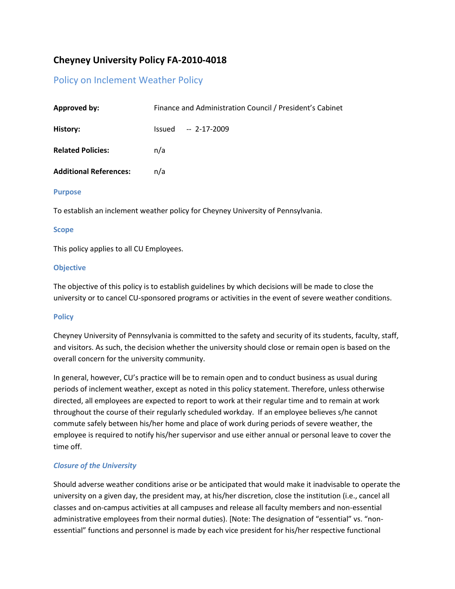# **Cheyney University Policy FA-2010-4018**

## Policy on Inclement Weather Policy

| <b>Approved by:</b>           | Finance and Administration Council / President's Cabinet |
|-------------------------------|----------------------------------------------------------|
| History:                      | $-2-17-2009$<br>Issued                                   |
| <b>Related Policies:</b>      | n/a                                                      |
| <b>Additional References:</b> | n/a                                                      |

#### **Purpose**

To establish an inclement weather policy for Cheyney University of Pennsylvania.

#### **Scope**

This policy applies to all CU Employees.

#### **Objective**

The objective of this policy is to establish guidelines by which decisions will be made to close the university or to cancel CU-sponsored programs or activities in the event of severe weather conditions.

### **Policy**

Cheyney University of Pennsylvania is committed to the safety and security of its students, faculty, staff, and visitors. As such, the decision whether the university should close or remain open is based on the overall concern for the university community.

In general, however, CU's practice will be to remain open and to conduct business as usual during periods of inclement weather, except as noted in this policy statement. Therefore, unless otherwise directed, all employees are expected to report to work at their regular time and to remain at work throughout the course of their regularly scheduled workday. If an employee believes s/he cannot commute safely between his/her home and place of work during periods of severe weather, the employee is required to notify his/her supervisor and use either annual or personal leave to cover the time off.

### *Closure of the University*

Should adverse weather conditions arise or be anticipated that would make it inadvisable to operate the university on a given day, the president may, at his/her discretion, close the institution (i.e., cancel all classes and on-campus activities at all campuses and release all faculty members and non-essential administrative employees from their normal duties). [Note: The designation of "essential" vs. "nonessential" functions and personnel is made by each vice president for his/her respective functional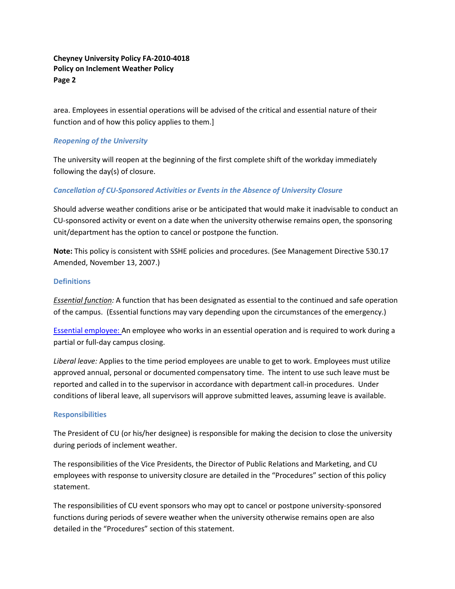### **Cheyney University Policy FA-2010-4018 Policy on Inclement Weather Policy Page 2**

area. Employees in essential operations will be advised of the critical and essential nature of their function and of how this policy applies to them.]

#### *Reopening of the University*

The university will reopen at the beginning of the first complete shift of the workday immediately following the day(s) of closure.

#### *Cancellation of CU-Sponsored Activities or Events in the Absence of University Closure*

Should adverse weather conditions arise or be anticipated that would make it inadvisable to conduct an CU-sponsored activity or event on a date when the university otherwise remains open, the sponsoring unit/department has the option to cancel or postpone the function.

**Note:** This policy is consistent with SSHE policies and procedures. (See Management Directive 530.17 Amended, November 13, 2007.)

#### **Definitions**

*Essential function:* A function that has been designated as essential to the continued and safe operation of the campus. (Essential functions may vary depending upon the circumstances of the emergency.)

[Essential employee:](https://webmail.cheyney.edu/owa/redir.aspx?C=34b106a526494068b25f1c0ab1d3ba21&URL=http%3a%2f%2fwww.iup.edu%2fWorkArea%2flinkit.aspx%3fLinkIdentifier%3did%26ItemID%3d85161) An employee who works in an essential operation and is required to work during a partial or full-day campus closing.

*Liberal leave:* Applies to the time period employees are unable to get to work. Employees must utilize approved annual, personal or documented compensatory time. The intent to use such leave must be reported and called in to the supervisor in accordance with department call-in procedures. Under conditions of liberal leave, all supervisors will approve submitted leaves, assuming leave is available.

#### **Responsibilities**

The President of CU (or his/her designee) is responsible for making the decision to close the university during periods of inclement weather.

The responsibilities of the Vice Presidents, the Director of Public Relations and Marketing, and CU employees with response to university closure are detailed in the "Procedures" section of this policy statement.

The responsibilities of CU event sponsors who may opt to cancel or postpone university-sponsored functions during periods of severe weather when the university otherwise remains open are also detailed in the "Procedures" section of this statement.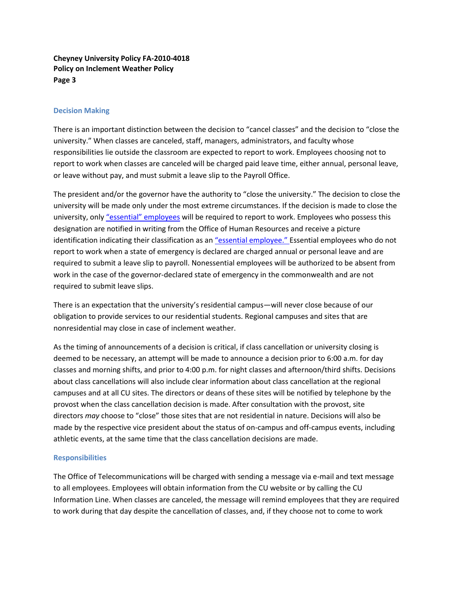#### **Cheyney University Policy FA-2010-4018 Policy on Inclement Weather Policy Page 3**

#### **Decision Making**

There is an important distinction between the decision to "cancel classes" and the decision to "close the university." When classes are canceled, staff, managers, administrators, and faculty whose responsibilities lie outside the classroom are expected to report to work. Employees choosing not to report to work when classes are canceled will be charged paid leave time, either annual, personal leave, or leave without pay, and must submit a leave slip to the Payroll Office.

The president and/or the governor have the authority to "close the university." The decision to close the university will be made only under the most extreme circumstances. If the decision is made to close the university, only ["essential" employees](https://webmail.cheyney.edu/owa/redir.aspx?C=34b106a526494068b25f1c0ab1d3ba21&URL=http%3a%2f%2fwww.iup.edu%2fWorkArea%2flinkit.aspx%3fLinkIdentifier%3did%26ItemID%3d85161) will be required to report to work. Employees who possess this designation are notified in writing from the Office of Human Resources and receive a picture identification indicating their classification as an ["essential employee."](https://webmail.cheyney.edu/owa/redir.aspx?C=34b106a526494068b25f1c0ab1d3ba21&URL=http%3a%2f%2fwww.iup.edu%2fWorkArea%2flinkit.aspx%3fLinkIdentifier%3did%26ItemID%3d85161) Essential employees who do not report to work when a state of emergency is declared are charged annual or personal leave and are required to submit a leave slip to payroll. Nonessential employees will be authorized to be absent from work in the case of the governor-declared state of emergency in the commonwealth and are not required to submit leave slips.

There is an expectation that the university's residential campus—will never close because of our obligation to provide services to our residential students. Regional campuses and sites that are nonresidential may close in case of inclement weather.

As the timing of announcements of a decision is critical, if class cancellation or university closing is deemed to be necessary, an attempt will be made to announce a decision prior to 6:00 a.m. for day classes and morning shifts, and prior to 4:00 p.m. for night classes and afternoon/third shifts. Decisions about class cancellations will also include clear information about class cancellation at the regional campuses and at all CU sites. The directors or deans of these sites will be notified by telephone by the provost when the class cancellation decision is made. After consultation with the provost, site directors *may* choose to "close" those sites that are not residential in nature. Decisions will also be made by the respective vice president about the status of on-campus and off-campus events, including athletic events, at the same time that the class cancellation decisions are made.

#### **Responsibilities**

The Office of Telecommunications will be charged with sending a message via e-mail and text message to all employees. Employees will obtain information from the CU website or by calling the CU Information Line. When classes are canceled, the message will remind employees that they are required to work during that day despite the cancellation of classes, and, if they choose not to come to work